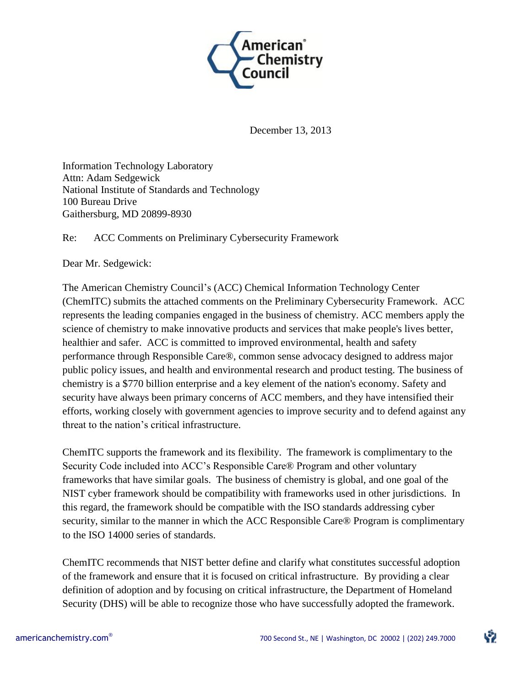

December 13, 2013

Information Technology Laboratory Attn: Adam Sedgewick National Institute of Standards and Technology 100 Bureau Drive Gaithersburg, MD 20899-8930

Re: ACC Comments on Preliminary Cybersecurity Framework

Dear Mr. Sedgewick:

The American Chemistry Council's (ACC) Chemical Information Technology Center (ChemITC) submits the attached comments on the Preliminary Cybersecurity Framework. ACC represents the leading companies engaged in the business of chemistry. ACC members apply the science of chemistry to make innovative products and services that make people's lives better, healthier and safer. ACC is committed to improved environmental, health and safety performance through Responsible Care®, common sense advocacy designed to address major public policy issues, and health and environmental research and product testing. The business of chemistry is a \$770 billion enterprise and a key element of the nation's economy. Safety and security have always been primary concerns of ACC members, and they have intensified their efforts, working closely with government agencies to improve security and to defend against any threat to the nation's critical infrastructure.

ChemITC supports the framework and its flexibility. The framework is complimentary to the Security Code included into ACC's Responsible Care® Program and other voluntary frameworks that have similar goals. The business of chemistry is global, and one goal of the NIST cyber framework should be compatibility with frameworks used in other jurisdictions. In this regard, the framework should be compatible with the ISO standards addressing cyber security, similar to the manner in which the ACC Responsible Care® Program is complimentary to the ISO 14000 series of standards.

ChemITC recommends that NIST better define and clarify what constitutes successful adoption of the framework and ensure that it is focused on critical infrastructure. By providing a clear definition of adoption and by focusing on critical infrastructure, the Department of Homeland Security (DHS) will be able to recognize those who have successfully adopted the framework.